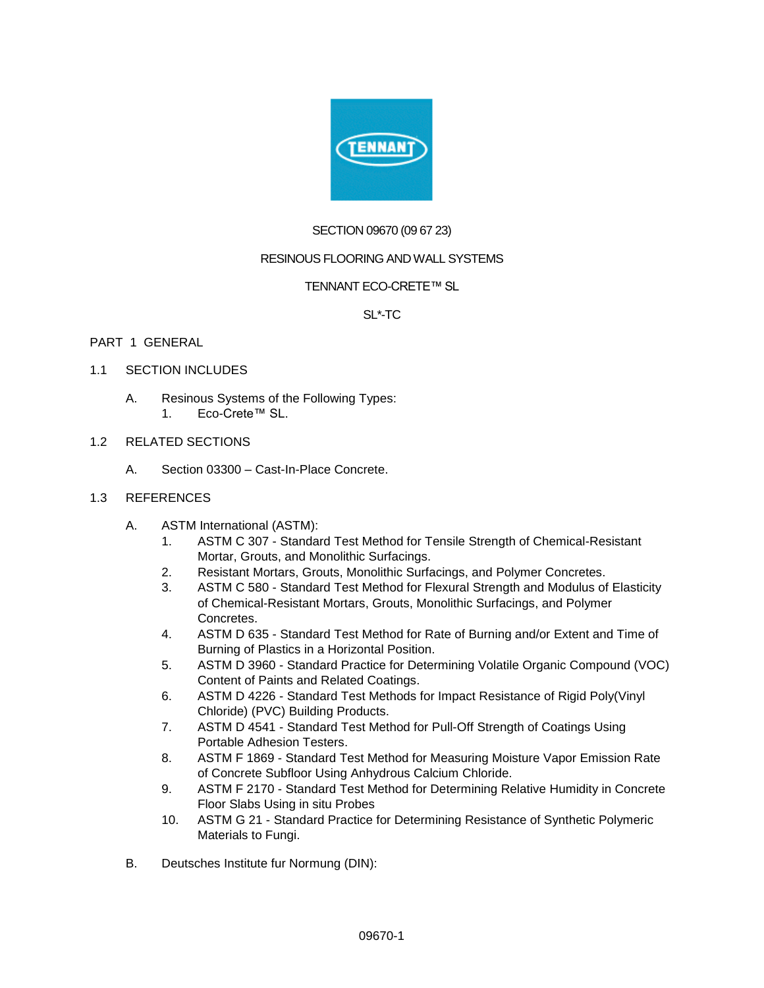

# SECTION 09670 (09 67 23)

## RESINOUS FLOORING AND WALL SYSTEMS

## TENNANT ECO-CRETE™ SL

## SL\*-TC

## PART 1 GENERAL

## 1.1 SECTION INCLUDES

- A. Resinous Systems of the Following Types:
	- 1. Eco-Crete™ SL.

# 1.2 RELATED SECTIONS

A. Section 03300 – Cast-In-Place Concrete.

## 1.3 REFERENCES

- A. ASTM International (ASTM):
	- 1. ASTM C 307 Standard Test Method for Tensile Strength of Chemical-Resistant Mortar, Grouts, and Monolithic Surfacings.
	- 2. Resistant Mortars, Grouts, Monolithic Surfacings, and Polymer Concretes.
	- 3. ASTM C 580 Standard Test Method for Flexural Strength and Modulus of Elasticity of Chemical-Resistant Mortars, Grouts, Monolithic Surfacings, and Polymer Concretes.
	- 4. ASTM D 635 Standard Test Method for Rate of Burning and/or Extent and Time of Burning of Plastics in a Horizontal Position.
	- 5. ASTM D 3960 Standard Practice for Determining Volatile Organic Compound (VOC) Content of Paints and Related Coatings.
	- 6. ASTM D 4226 Standard Test Methods for Impact Resistance of Rigid Poly(Vinyl Chloride) (PVC) Building Products.
	- 7. ASTM D 4541 Standard Test Method for Pull-Off Strength of Coatings Using Portable Adhesion Testers.
	- 8. ASTM F 1869 Standard Test Method for Measuring Moisture Vapor Emission Rate of Concrete Subfloor Using Anhydrous Calcium Chloride.
	- 9. ASTM F 2170 Standard Test Method for Determining Relative Humidity in Concrete Floor Slabs Using in situ Probes
	- 10. ASTM G 21 Standard Practice for Determining Resistance of Synthetic Polymeric Materials to Fungi.
- B. Deutsches Institute fur Normung (DIN):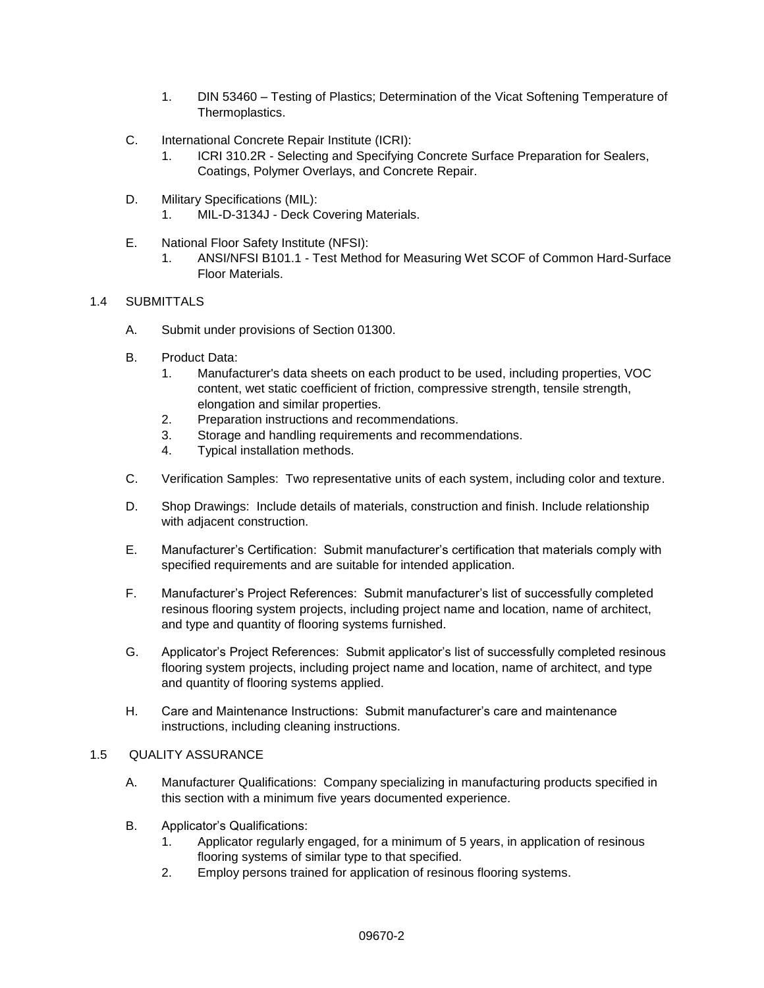- 1. DIN 53460 Testing of Plastics; Determination of the Vicat Softening Temperature of Thermoplastics.
- C. International Concrete Repair Institute (ICRI):
	- 1. ICRI 310.2R Selecting and Specifying Concrete Surface Preparation for Sealers, Coatings, Polymer Overlays, and Concrete Repair.
- D. Military Specifications (MIL): 1. MIL-D-3134J - Deck Covering Materials.
- E. National Floor Safety Institute (NFSI):
	- 1. ANSI/NFSI B101.1 Test Method for Measuring Wet SCOF of Common Hard-Surface Floor Materials.

## 1.4 SUBMITTALS

- A. Submit under provisions of Section 01300.
- B. Product Data:
	- 1. Manufacturer's data sheets on each product to be used, including properties, VOC content, wet static coefficient of friction, compressive strength, tensile strength, elongation and similar properties.
	- 2. Preparation instructions and recommendations.
	- 3. Storage and handling requirements and recommendations.
	- 4. Typical installation methods.
- C. Verification Samples: Two representative units of each system, including color and texture.
- D. Shop Drawings: Include details of materials, construction and finish. Include relationship with adjacent construction.
- E. Manufacturer's Certification: Submit manufacturer's certification that materials comply with specified requirements and are suitable for intended application.
- F. Manufacturer's Project References: Submit manufacturer's list of successfully completed resinous flooring system projects, including project name and location, name of architect, and type and quantity of flooring systems furnished.
- G. Applicator's Project References: Submit applicator's list of successfully completed resinous flooring system projects, including project name and location, name of architect, and type and quantity of flooring systems applied.
- H. Care and Maintenance Instructions: Submit manufacturer's care and maintenance instructions, including cleaning instructions.

# 1.5 QUALITY ASSURANCE

- A. Manufacturer Qualifications: Company specializing in manufacturing products specified in this section with a minimum five years documented experience.
- B. Applicator's Qualifications:
	- 1. Applicator regularly engaged, for a minimum of 5 years, in application of resinous flooring systems of similar type to that specified.
	- 2. Employ persons trained for application of resinous flooring systems.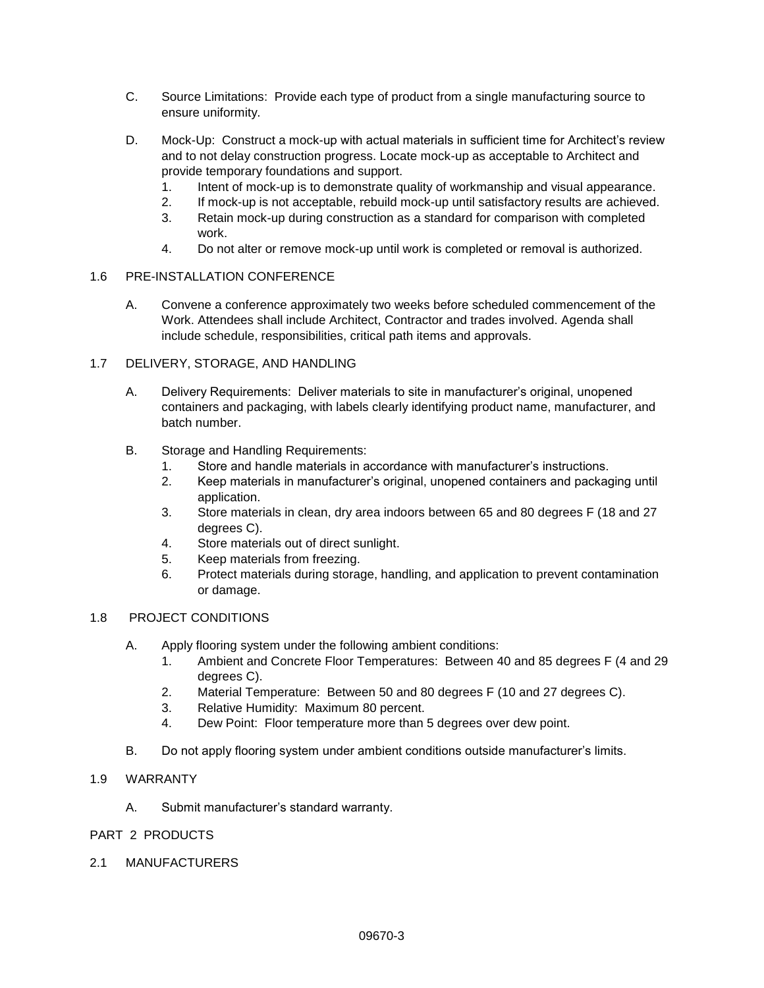- C. Source Limitations: Provide each type of product from a single manufacturing source to ensure uniformity.
- D. Mock-Up: Construct a mock-up with actual materials in sufficient time for Architect's review and to not delay construction progress. Locate mock-up as acceptable to Architect and provide temporary foundations and support.
	- 1. Intent of mock-up is to demonstrate quality of workmanship and visual appearance.
	- 2. If mock-up is not acceptable, rebuild mock-up until satisfactory results are achieved.
	- 3. Retain mock-up during construction as a standard for comparison with completed work.
	- 4. Do not alter or remove mock-up until work is completed or removal is authorized.

#### 1.6 PRE-INSTALLATION CONFERENCE

A. Convene a conference approximately two weeks before scheduled commencement of the Work. Attendees shall include Architect, Contractor and trades involved. Agenda shall include schedule, responsibilities, critical path items and approvals.

## 1.7 DELIVERY, STORAGE, AND HANDLING

- A. Delivery Requirements: Deliver materials to site in manufacturer's original, unopened containers and packaging, with labels clearly identifying product name, manufacturer, and batch number.
- B. Storage and Handling Requirements:
	- 1. Store and handle materials in accordance with manufacturer's instructions.
	- 2. Keep materials in manufacturer's original, unopened containers and packaging until application.
	- 3. Store materials in clean, dry area indoors between 65 and 80 degrees F (18 and 27 degrees C).
	- 4. Store materials out of direct sunlight.
	- 5. Keep materials from freezing.
	- 6. Protect materials during storage, handling, and application to prevent contamination or damage.

#### 1.8 PROJECT CONDITIONS

- A. Apply flooring system under the following ambient conditions:
	- 1. Ambient and Concrete Floor Temperatures: Between 40 and 85 degrees F (4 and 29 degrees C).
	- 2. Material Temperature: Between 50 and 80 degrees F (10 and 27 degrees C).
	- 3. Relative Humidity: Maximum 80 percent.
	- 4. Dew Point: Floor temperature more than 5 degrees over dew point.
- B. Do not apply flooring system under ambient conditions outside manufacturer's limits.

#### 1.9 WARRANTY

A. Submit manufacturer's standard warranty.

#### PART 2 PRODUCTS

2.1 MANUFACTURERS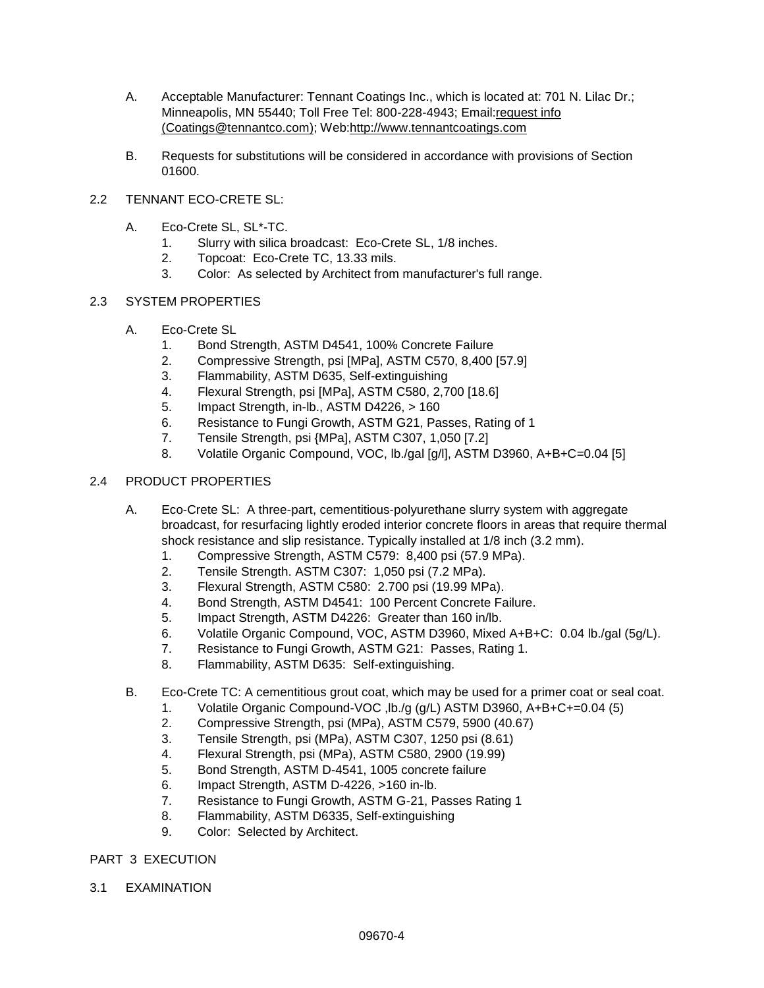- A. Acceptable Manufacturer: Tennant Coatings Inc., which is located at: 701 N. Lilac Dr.; Minneapolis, MN 55440; Toll Free Tel: 800-228-4943; Email[:request info](http://admin.arcat.com/users.pl?action=UserEmail&company=Tennant+Coatings+Inc.&coid=35973&rep=&fax=&message=RE:%20Spec%20Question%20(09670tnt):%20%20&mf=)  [\(Coatings@tennantco.com\);](http://admin.arcat.com/users.pl?action=UserEmail&company=Tennant+Coatings+Inc.&coid=35973&rep=&fax=&message=RE:%20Spec%20Question%20(09670tnt):%20%20&mf=) Web[:http://www.tennantcoatings.com](http://www.tennantcoatings.com/)
- B. Requests for substitutions will be considered in accordance with provisions of Section 01600.

# 2.2 TENNANT ECO-CRETE SL:

- A. Eco-Crete SL, SL\*-TC.
	- 1. Slurry with silica broadcast: Eco-Crete SL, 1/8 inches.
	- 2. Topcoat: Eco-Crete TC, 13.33 mils.
	- 3. Color: As selected by Architect from manufacturer's full range.

## 2.3 SYSTEM PROPERTIES

- A. Eco-Crete SL
	- 1. Bond Strength, ASTM D4541, 100% Concrete Failure
	- 2. Compressive Strength, psi [MPa], ASTM C570, 8,400 [57.9]
	- 3. Flammability, ASTM D635, Self-extinguishing
	- 4. Flexural Strength, psi [MPa], ASTM C580, 2,700 [18.6]
	- 5. Impact Strength, in-lb., ASTM D4226, > 160
	- 6. Resistance to Fungi Growth, ASTM G21, Passes, Rating of 1
	- 7. Tensile Strength, psi {MPa], ASTM C307, 1,050 [7.2]
	- 8. Volatile Organic Compound, VOC, lb./gal [g/l], ASTM D3960, A+B+C=0.04 [5]

# 2.4 PRODUCT PROPERTIES

- A. Eco-Crete SL: A three-part, cementitious-polyurethane slurry system with aggregate broadcast, for resurfacing lightly eroded interior concrete floors in areas that require thermal shock resistance and slip resistance. Typically installed at 1/8 inch (3.2 mm).
	- 1. Compressive Strength, ASTM C579: 8,400 psi (57.9 MPa).
	- 2. Tensile Strength. ASTM C307: 1,050 psi (7.2 MPa).
	- 3. Flexural Strength, ASTM C580: 2.700 psi (19.99 MPa).
	- 4. Bond Strength, ASTM D4541: 100 Percent Concrete Failure.
	- 5. Impact Strength, ASTM D4226: Greater than 160 in/lb.
	- 6. Volatile Organic Compound, VOC, ASTM D3960, Mixed A+B+C: 0.04 lb./gal (5g/L).
	- 7. Resistance to Fungi Growth, ASTM G21: Passes, Rating 1.
	- 8. Flammability, ASTM D635: Self-extinguishing.
- B. Eco-Crete TC: A cementitious grout coat, which may be used for a primer coat or seal coat.
	- 1. Volatile Organic Compound-VOC ,lb./g (g/L) ASTM D3960, A+B+C+=0.04 (5)
	- 2. Compressive Strength, psi (MPa), ASTM C579, 5900 (40.67)
	- 3. Tensile Strength, psi (MPa), ASTM C307, 1250 psi (8.61)
	- 4. Flexural Strength, psi (MPa), ASTM C580, 2900 (19.99)
	- 5. Bond Strength, ASTM D-4541, 1005 concrete failure
	- 6. Impact Strength, ASTM D-4226, >160 in-lb.
	- 7. Resistance to Fungi Growth, ASTM G-21, Passes Rating 1
	- 8. Flammability, ASTM D6335, Self-extinguishing
	- 9. Color: Selected by Architect.

## PART 3 EXECUTION

3.1 EXAMINATION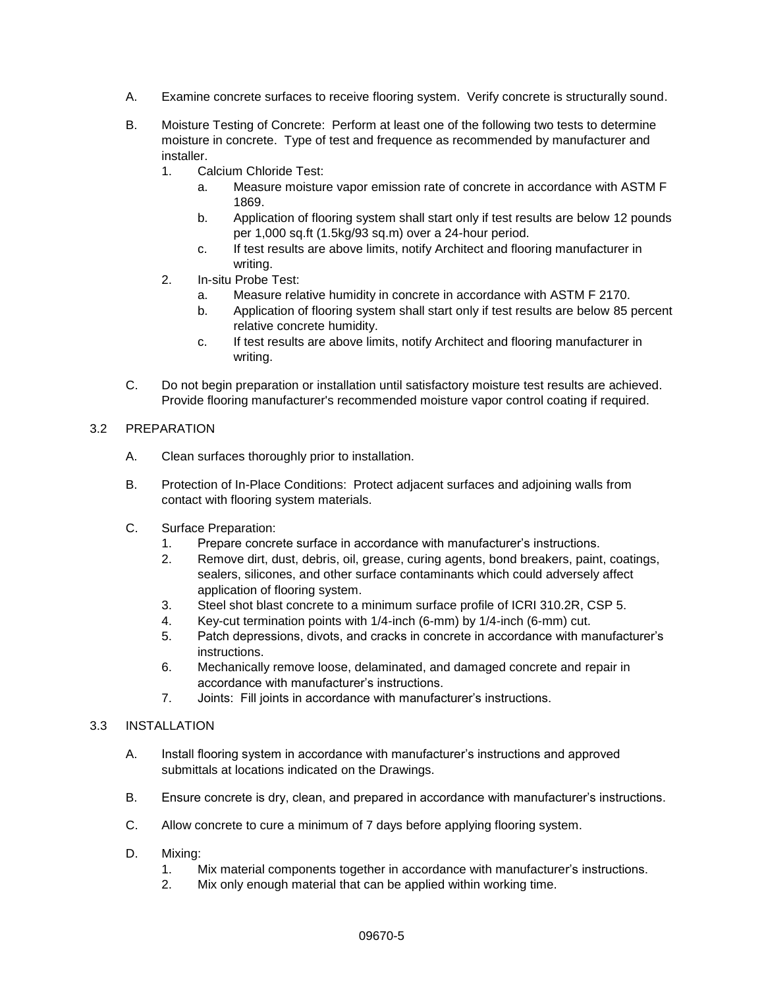- A. Examine concrete surfaces to receive flooring system. Verify concrete is structurally sound.
- B. Moisture Testing of Concrete: Perform at least one of the following two tests to determine moisture in concrete. Type of test and frequence as recommended by manufacturer and installer.
	- 1. Calcium Chloride Test:
		- a. Measure moisture vapor emission rate of concrete in accordance with ASTM F 1869.
		- b. Application of flooring system shall start only if test results are below 12 pounds per 1,000 sq.ft (1.5kg/93 sq.m) over a 24-hour period.
		- c. If test results are above limits, notify Architect and flooring manufacturer in writing.
	- 2. In-situ Probe Test:
		- a. Measure relative humidity in concrete in accordance with ASTM F 2170.
		- b. Application of flooring system shall start only if test results are below 85 percent relative concrete humidity.
		- c. If test results are above limits, notify Architect and flooring manufacturer in writing.
- C. Do not begin preparation or installation until satisfactory moisture test results are achieved. Provide flooring manufacturer's recommended moisture vapor control coating if required.

## 3.2 PREPARATION

- A. Clean surfaces thoroughly prior to installation.
- B. Protection of In-Place Conditions: Protect adjacent surfaces and adjoining walls from contact with flooring system materials.
- C. Surface Preparation:
	- 1. Prepare concrete surface in accordance with manufacturer's instructions.
	- 2. Remove dirt, dust, debris, oil, grease, curing agents, bond breakers, paint, coatings, sealers, silicones, and other surface contaminants which could adversely affect application of flooring system.
	- 3. Steel shot blast concrete to a minimum surface profile of ICRI 310.2R, CSP 5.
	- 4. Key-cut termination points with 1/4-inch (6-mm) by 1/4-inch (6-mm) cut.
	- 5. Patch depressions, divots, and cracks in concrete in accordance with manufacturer's instructions.
	- 6. Mechanically remove loose, delaminated, and damaged concrete and repair in accordance with manufacturer's instructions.
	- 7. Joints: Fill joints in accordance with manufacturer's instructions.

#### 3.3 INSTALLATION

- A. Install flooring system in accordance with manufacturer's instructions and approved submittals at locations indicated on the Drawings.
- B. Ensure concrete is dry, clean, and prepared in accordance with manufacturer's instructions.
- C. Allow concrete to cure a minimum of 7 days before applying flooring system.
- D. Mixing:
	- 1. Mix material components together in accordance with manufacturer's instructions.
	- 2. Mix only enough material that can be applied within working time.